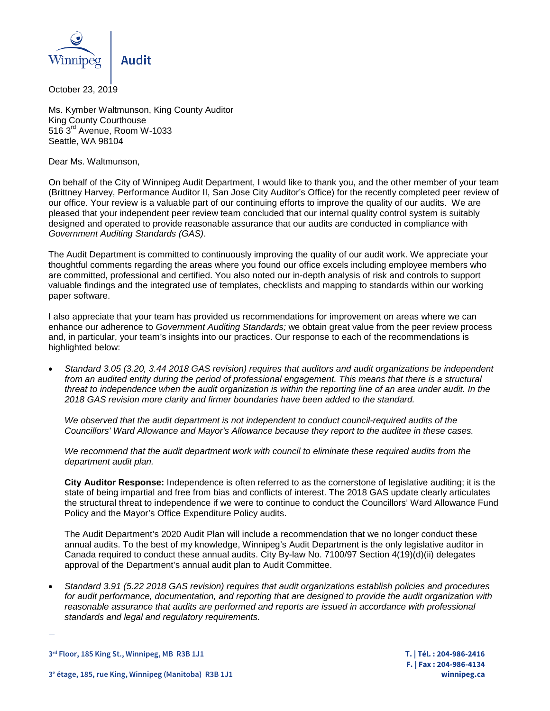

October 23, 2019

Ms. Kymber Waltmunson, King County Auditor King County Courthouse 516 3rd Avenue, Room W-1033 Seattle, WA 98104

Dear Ms. Waltmunson,

On behalf of the City of Winnipeg Audit Department, I would like to thank you, and the other member of your team (Brittney Harvey, Performance Auditor II, San Jose City Auditor's Office) for the recently completed peer review of our office. Your review is a valuable part of our continuing efforts to improve the quality of our audits. We are pleased that your independent peer review team concluded that our internal quality control system is suitably designed and operated to provide reasonable assurance that our audits are conducted in compliance with *Government Auditing Standards (GAS)*.

The Audit Department is committed to continuously improving the quality of our audit work. We appreciate your thoughtful comments regarding the areas where you found our office excels including employee members who are committed, professional and certified. You also noted our in-depth analysis of risk and controls to support valuable findings and the integrated use of templates, checklists and mapping to standards within our working paper software.

I also appreciate that your team has provided us recommendations for improvement on areas where we can enhance our adherence to *Government Auditing Standards;* we obtain great value from the peer review process and, in particular, your team's insights into our practices. Our response to each of the recommendations is highlighted below:

• *Standard 3.05 (3.20, 3.44 2018 GAS revision) requires that auditors and audit organizations be independent from an audited entity during the period of professional engagement. This means that there is a structural threat to independence when the audit organization is within the reporting line of an area under audit. In the 2018 GAS revision more clarity and firmer boundaries have been added to the standard.*

*We observed that the audit department is not independent to conduct council-required audits of the Councillors' Ward Allowance and Mayor's Allowance because they report to the auditee in these cases.*

*We recommend that the audit department work with council to eliminate these required audits from the department audit plan.*

**City Auditor Response:** Independence is often referred to as the cornerstone of legislative auditing; it is the state of being impartial and free from bias and conflicts of interest. The 2018 GAS update clearly articulates the structural threat to independence if we were to continue to conduct the Councillors' Ward Allowance Fund Policy and the Mayor's Office Expenditure Policy audits.

The Audit Department's 2020 Audit Plan will include a recommendation that we no longer conduct these annual audits. To the best of my knowledge, Winnipeg's Audit Department is the only legislative auditor in Canada required to conduct these annual audits. City By-law No. 7100/97 Section 4(19)(d)(ii) delegates approval of the Department's annual audit plan to Audit Committee.

• *Standard 3.91 (5.22 2018 GAS revision) requires that audit organizations establish policies and procedures for audit performance, documentation, and reporting that are designed to provide the audit organization with reasonable assurance that audits are performed and reports are issued in accordance with professional standards and legal and regulatory requirements.*

**3rd Floor, 185 King St., Winnipeg, MB R3B 1J1 T. | Tél. : 204-986-2416** 

—